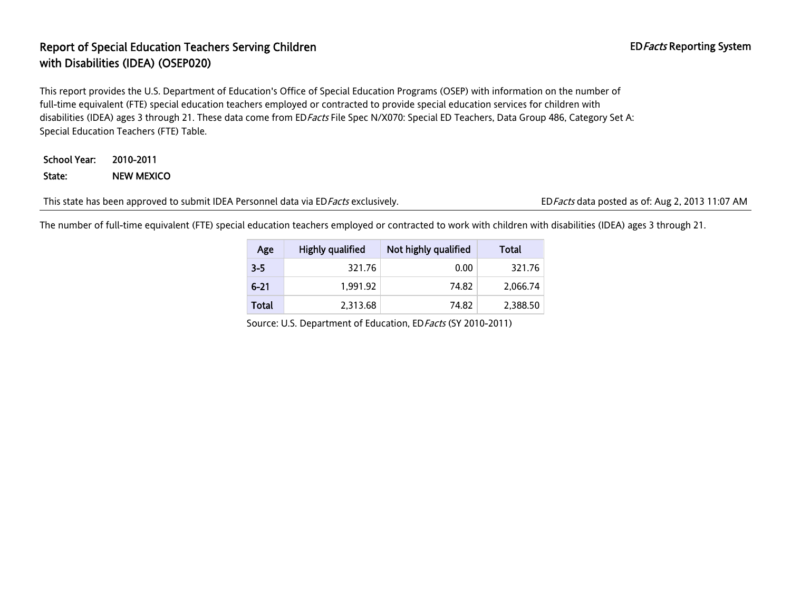# Report of Special Education Teachers Serving Children EDFacts Reporting System EDFacts Reporting System with Disabilities (IDEA) (OSEP020)

This report provides the U.S. Department of Education's Office of Special Education Programs (OSEP) with information on the number of full-time equivalent (FTE) special education teachers employed or contracted to provide special education services for children with disabilities (IDEA) ages 3 through 21. These data come from ED Facts File Spec N/X070: Special ED Teachers, Data Group 486, Category Set A: Special Education Teachers (FTE) Table.

### School Year: 2010-2011 State: NEW MEXICO

This state has been approved to submit IDEA Personnel data via ED*Facts* exclusively. EDFacts data posted as of: Aug 2, 2013 11:07 AM

The number of full-time equivalent (FTE) special education teachers employed or contracted to work with children with disabilities (IDEA) ages 3 through 21.

| Age      | Highly qualified | Not highly qualified | Total    |
|----------|------------------|----------------------|----------|
| $3 - 5$  | 321.76           | 0.00                 | 321.76   |
| $6 - 21$ | 1,991.92         | 74.82                | 2,066.74 |
| Total    | 2,313.68         | 74.82                | 2,388.50 |

Source: U.S. Department of Education, EDFacts (SY 2010-2011)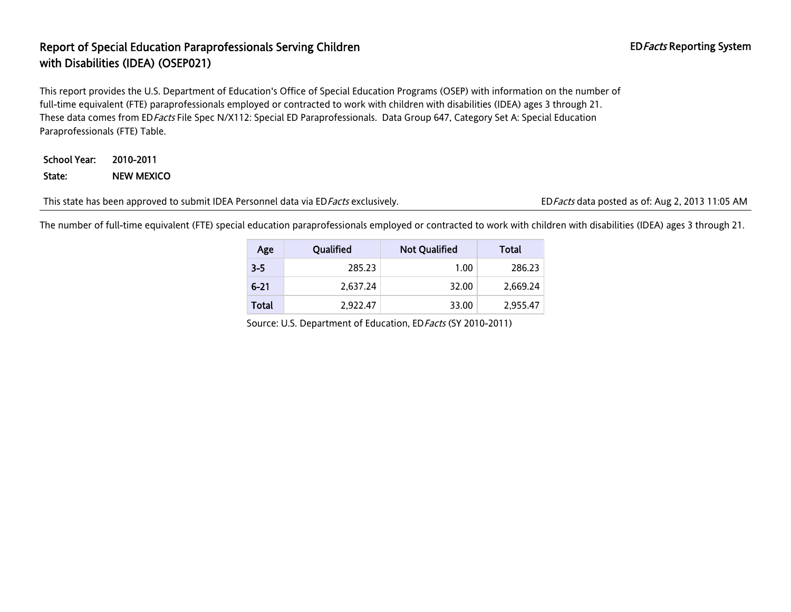### Report of Special Education Paraprofessionals Serving Children EDFacts Reporting System with Disabilities (IDEA) (OSEP021)

This report provides the U.S. Department of Education's Office of Special Education Programs (OSEP) with information on the number of full-time equivalent (FTE) paraprofessionals employed or contracted to work with children with disabilities (IDEA) ages 3 through 21. These data comes from EDFacts File Spec N/X112: Special ED Paraprofessionals. Data Group 647, Category Set A: Special Education Paraprofessionals (FTE) Table.

School Year: 2010-2011 State: NEW MEXICO

This state has been approved to submit IDEA Personnel data via ED Facts exclusively. EDFacts data posted as of: Aug 2, 2013 11:05 AM

The number of full-time equivalent (FTE) special education paraprofessionals employed or contracted to work with children with disabilities (IDEA) ages 3 through 21.

| Age      | Qualified | <b>Not Qualified</b> | Total    |
|----------|-----------|----------------------|----------|
| $3 - 5$  | 285.23    | 1.00                 | 286.23   |
| $6 - 21$ | 2.637.24  | 32.00                | 2.669.24 |
| Total    | 2.922.47  | 33.00                | 2,955.47 |

Source: U.S. Department of Education, EDFacts (SY 2010-2011)